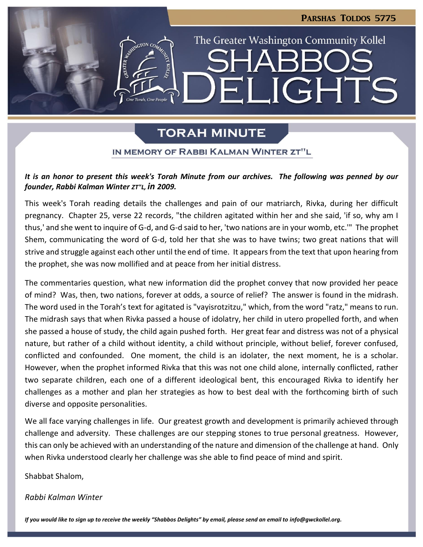# PARSHAS TOLDOS 5775

LIGHTS

The Greater Washington Community Kollel

# **TORAH MINUTE**

 $\blacksquare$ 

## IN MEMORY OF RABBI KALMAN WINTER ZT"L

## *It is an honor to present this week's Torah Minute from our archives. The following was penned by our founder, Rabbi Kalman Winter ZT"L, in 2009.*

This week's Torah reading details the challenges and pain of our matriarch, Rivka, during her difficult pregnancy. Chapter 25, verse 22 records, "the children agitated within her and she said, 'if so, why am I thus,' and she went to inquire of G-d, and G-d said to her, 'two nations are in your womb, etc.'" The prophet Shem, communicating the word of G-d, told her that she was to have twins; two great nations that will strive and struggle against each other until the end of time. It appears from the text that upon hearing from the prophet, she was now mollified and at peace from her initial distress.

The commentaries question, what new information did the prophet convey that now provided her peace of mind? Was, then, two nations, forever at odds, a source of relief? The answer is found in the midrash. The word used in the Torah's text for agitated is "vayisrotzitzu," which, from the word "ratz," means to run. The midrash says that when Rivka passed a house of idolatry, her child in utero propelled forth, and when she passed a house of study, the child again pushed forth. Her great fear and distress was not of a physical nature, but rather of a child without identity, a child without principle, without belief, forever confused, conflicted and confounded. One moment, the child is an idolater, the next moment, he is a scholar. However, when the prophet informed Rivka that this was not one child alone, internally conflicted, rather two separate children, each one of a different ideological bent, this encouraged Rivka to identify her challenges as a mother and plan her strategies as how to best deal with the forthcoming birth of such diverse and opposite personalities.

We all face varying challenges in life. Our greatest growth and development is primarily achieved through challenge and adversity. These challenges are our stepping stones to true personal greatness. However, this can only be achieved with an understanding of the nature and dimension of the challenge at hand. Only when Rivka understood clearly her challenge was she able to find peace of mind and spirit.

Shabbat Shalom,

#### *Rabbi Kalman Winter*

*If you would like to sign up to receive the weekly "Shabbos Delights" by email, please send an email to [info@gwckollel.org.](mailto:info@gwckollel.org)*